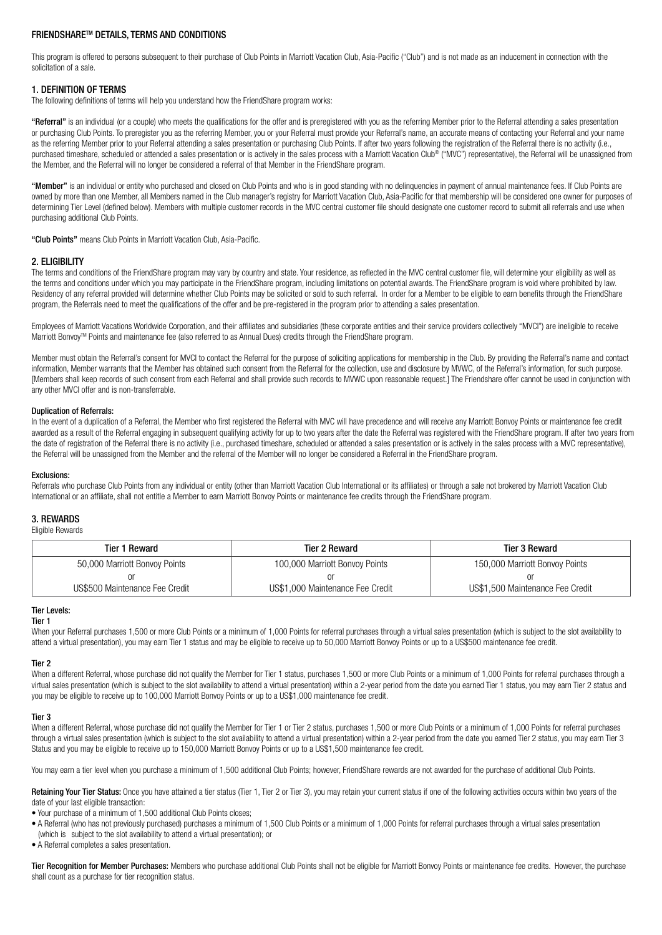# FRIENDSHARETM DETAILS, TERMS AND CONDITIONS

This program is offered to persons subsequent to their purchase of Club Points in Marriott Vacation Club, Asia-Pacific ("Club") and is not made as an inducement in connection with the solicitation of a sale.

## 1. DEFINITION OF TERMS

The following definitions of terms will help you understand how the FriendShare program works:

"Referral" is an individual (or a couple) who meets the qualifications for the offer and is preregistered with you as the referring Member prior to the Referral attending a sales presentation or purchasing Club Points. To preregister you as the referring Member, you or your Referral must provide your Referral's name, an accurate means of contacting your Referral and your name as the referring Member prior to your Referral attending a sales presentation or purchasing Club Points. If after two years following the registration of the Referral there is no activity (i.e., purchased timeshare, scheduled or attended a sales presentation or is actively in the sales process with a Marriott Vacation Club<sup>®</sup> ("MVC") representative), the Referral will be unassigned from the Member, and the Referral will no longer be considered a referral of that Member in the FriendShare program.

"Member" is an individual or entity who purchased and closed on Club Points and who is in good standing with no delinquencies in payment of annual maintenance fees. If Club Points are owned by more than one Member, all Members named in the Club manager's registry for Marriott Vacation Club, Asia-Pacific for that membership will be considered one owner for purposes of determining Tier Level (defined below). Members with multiple customer records in the MVC central customer file should designate one customer record to submit all referrals and use when purchasing additional Club Points.

"Club Points" means Club Points in Marriott Vacation Club, Asia-Pacific.

### 2. ELIGIBILITY

The terms and conditions of the FriendShare program may vary by country and state. Your residence, as reflected in the MVC central customer file, will determine your eligibility as well as the terms and conditions under which you may participate in the FriendShare program, including limitations on potential awards. The FriendShare program is void where prohibited by law. Residency of any referral provided will determine whether Club Points may be solicited or sold to such referral. In order for a Member to be eligible to earn benefits through the FriendShare program, the Referrals need to meet the qualifications of the offer and be pre-registered in the program prior to attending a sales presentation.

Employees of Marriott Vacations Worldwide Corporation, and their affiliates and subsidiaries (these corporate entities and their service providers collectively "MVCI") are ineligible to receive Marriott Bonvoy<sup>™</sup> Points and maintenance fee (also referred to as Annual Dues) credits through the FriendShare program.

Member must obtain the Referral's consent for MVCI to contact the Referral for the purpose of soliciting applications for membership in the Club. By providing the Referral's name and contact information, Member warrants that the Member has obtained such consent from the Referral for the collection, use and disclosure by MVWC, of the Referral's information, for such purpose. [Members shall keep records of such consent from each Referral and shall provide such records to MVWC upon reasonable request.] The Friendshare offer cannot be used in conjunction with any other MVCI offer and is non-transferrable.

#### Duplication of Referrals:

In the event of a duplication of a Referral, the Member who first registered the Referral with MVC will have precedence and will receive any Marriott Bonvoy Points or maintenance fee credit awarded as a result of the Referral engaging in subsequent qualifying activity for up to two years after the date the Referral was registered with the FriendShare program. If after two years from the date of registration of the Referral there is no activity (i.e., purchased timeshare, scheduled or attended a sales presentation or is actively in the sales process with a MVC representative), the Referral will be unassigned from the Member and the referral of the Member will no longer be considered a Referral in the FriendShare program.

#### Exclusions:

Referrals who purchase Club Points from any individual or entity (other than Marriott Vacation Club International or its affiliates) or through a sale not brokered by Marriott Vacation Club International or an affiliate, shall not entitle a Member to earn Marriott Bonvoy Points or maintenance fee credits through the FriendShare program.

#### 3. REWARDS

Eligible Rewards

| <b>Tier 1 Reward</b>           | <b>Tier 2 Reward</b>             | Tier 3 Reward                    |
|--------------------------------|----------------------------------|----------------------------------|
| 50,000 Marriott Bonvoy Points  | 100,000 Marriott Bonvoy Points   | 150,000 Marriott Bonvoy Points   |
|                                |                                  | or                               |
| US\$500 Maintenance Fee Credit | US\$1,000 Maintenance Fee Credit | US\$1,500 Maintenance Fee Credit |

### Tier Levels:

#### Tier 1

When your Referral purchases 1,500 or more Club Points or a minimum of 1,000 Points for referral purchases through a virtual sales presentation (which is subject to the slot availability to attend a virtual presentation), you may earn Tier 1 status and may be eligible to receive up to 50,000 Marriott Bonvoy Points or up to a US\$500 maintenance fee credit.

#### Tier 2

When a different Referral, whose purchase did not qualify the Member for Tier 1 status, purchases 1,500 or more Club Points or a minimum of 1,000 Points for referral purchases through a virtual sales presentation (which is subject to the slot availability to attend a virtual presentation) within a 2-year period from the date you earned Tier 1 status, you may earn Tier 2 status and you may be eligible to receive up to 100,000 Marriott Bonvoy Points or up to a US\$1,000 maintenance fee credit.

#### Tier 3

When a different Referral, whose purchase did not qualify the Member for Tier 1 or Tier 2 status, purchases 1,500 or more Club Points or a minimum of 1,000 Points for referral purchases through a virtual sales presentation (which is subject to the slot availability to attend a virtual presentation) within a 2-year period from the date you earned Tier 2 status, you may earn Tier 3 Status and you may be eligible to receive up to 150,000 Marriott Bonvoy Points or up to a US\$1,500 maintenance fee credit.

You may earn a tier level when you purchase a minimum of 1,500 additional Club Points; however, FriendShare rewards are not awarded for the purchase of additional Club Points.

Retaining Your Tier Status: Once you have attained a tier status (Tier 1, Tier 2 or Tier 3), you may retain your current status if one of the following activities occurs within two years of the date of your last eligible transaction:

- Your purchase of a minimum of 1,500 additional Club Points closes;
- A Referral (who has not previously purchased) purchases a minimum of 1,500 Club Points or a minimum of 1,000 Points for referral purchases through a virtual sales presentation (which is subject to the slot availability to attend a virtual presentation); or
- A Referral completes a sales presentation.

Tier Recognition for Member Purchases: Members who purchase additional Club Points shall not be eligible for Marriott Bonvoy Points or maintenance fee credits. However, the purchase shall count as a purchase for tier recognition status.